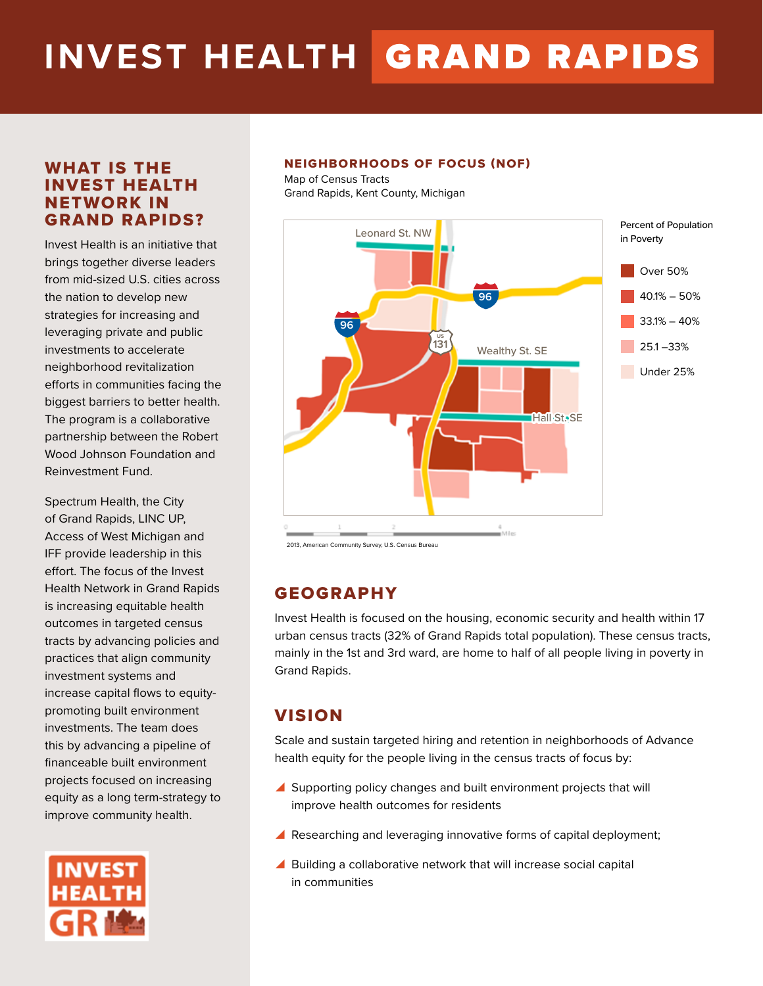# **INVEST HEALTH** GRAND RAPIDS

### WHAT IS THE INVEST HEALTH NETWORK IN GRAND RAPIDS?

Invest Health is an initiative that brings together diverse leaders from mid-sized U.S. cities across the nation to develop new strategies for increasing and leveraging private and public investments to accelerate neighborhood revitalization efforts in communities facing the biggest barriers to better health. The program is a collaborative partnership between the Robert Wood Johnson Foundation and Reinvestment Fund.

Spectrum Health, the City of Grand Rapids, LINC UP, Access of West Michigan and IFF provide leadership in this effort. The focus of the Invest Health Network in Grand Rapids is increasing equitable health outcomes in targeted census tracts by advancing policies and practices that align community investment systems and increase capital flows to equitypromoting built environment investments. The team does this by advancing a pipeline of financeable built environment projects focused on increasing equity as a long term-strategy to improve community health.



#### NEIGHBORHOODS OF FOCUS (NOF)

Map of Census Tracts Grand Rapids, Kent County, Michigan



2013, American Community Survey, U.S. Census Bureau

# GEOGRAPHY

Invest Health is focused on the housing, economic security and health within 17 urban census tracts (32% of Grand Rapids total population). These census tracts, mainly in the 1st and 3rd ward, are home to half of all people living in poverty in Grand Rapids.

# VISION

Scale and sustain targeted hiring and retention in neighborhoods of Advance health equity for the people living in the census tracts of focus by:

- ▲ Supporting policy changes and built environment projects that will improve health outcomes for residents
- ▲ Researching and leveraging innovative forms of capital deployment;
- $\blacktriangle$  Building a collaborative network that will increase social capital in communities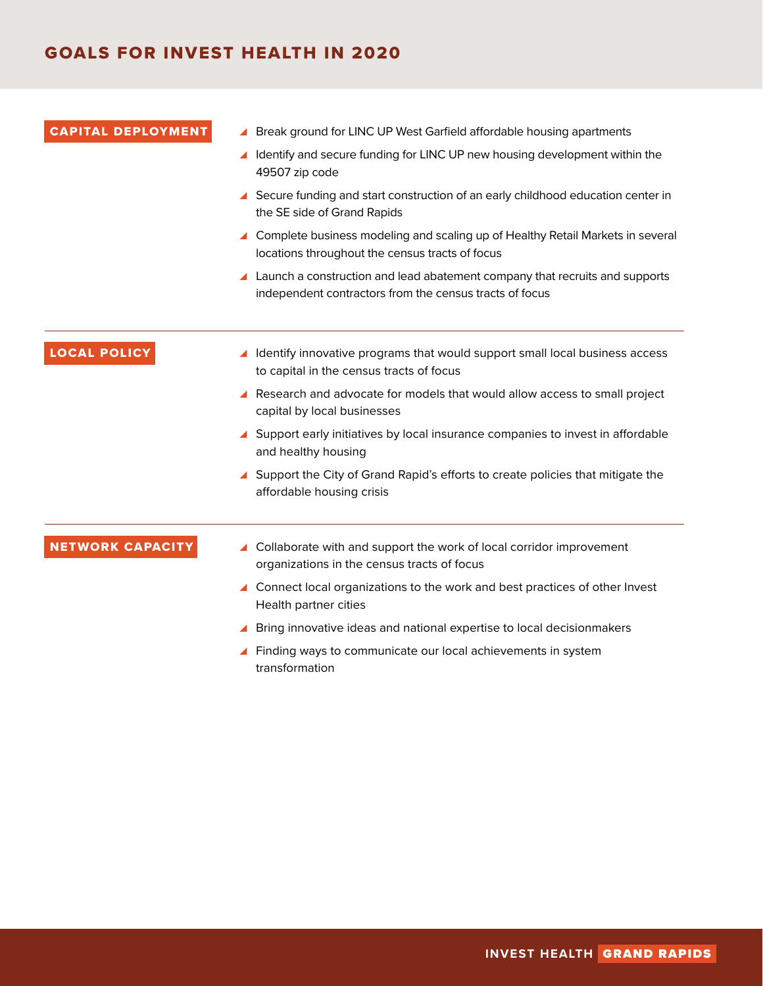|  | <b>CAPITAL DEPLOYMENT</b> |  |  |  |
|--|---------------------------|--|--|--|
|  |                           |  |  |  |
|  |                           |  |  |  |

- $\blacktriangle$  Break ground for LINC UP West Garfield affordable housing apartments
- ▲ Identify and secure funding for LINC UP new housing development within the 49507 zip code
- ▲ Secure funding and start construction of an early childhood education center in the SE side of Grand Rapids
- ▲ Complete business modeling and scaling up of Healthy Retail Markets in several locations throughout the census tracts of focus
- ▲ Launch a construction and lead abatement company that recruits and supports independent contractors from the census tracts of focus

- LOCAL POLICY **IDENTIFY** Identify innovative programs that would support small local business access to capital in the census tracts of focus
	- $\blacktriangle$  Research and advocate for models that would allow access to small project capital by local businesses
	- $\blacktriangle$  Support early initiatives by local insurance companies to invest in affordable and healthy housing
	- ▲ Support the City of Grand Rapid's efforts to create policies that mitigate the affordable housing crisis

- NETWORK CAPACITY **A** Collaborate with and support the work of local corridor improvement organizations in the census tracts of focus
	- ▲ Connect local organizations to the work and best practices of other Invest Health partner cities
	- ▲ Bring innovative ideas and national expertise to local decisionmakers
	- ▲ Finding ways to communicate our local achievements in system transformation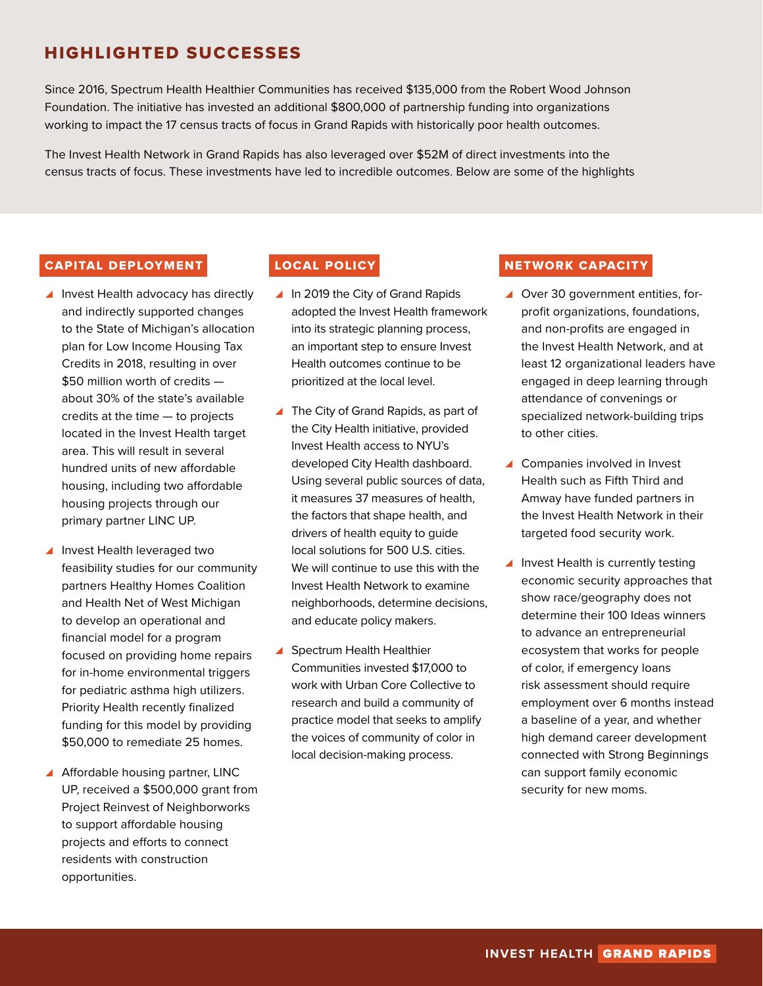# HIGHLIGHTED SUCCESSES

Since 2016, Spectrum Health Healthier Communities has received \$135,000 from the Robert Wood Johnson Foundation. The initiative has invested an additional \$800,000 of partnership funding into organizations working to impact the 17 census tracts of focus in Grand Rapids with historically poor health outcomes.

The Invest Health Network in Grand Rapids has also leveraged over \$52M of direct investments into the census tracts of focus. These investments have led to incredible outcomes. Below are some of the highlights

#### CAPITAL DEPLOYMENT

- ▲ Invest Health advocacy has directly and indirectly supported changes to the State of Michigan's allocation plan for Low Income Housing Tax Credits in 2018, resulting in over \$50 million worth of credits about 30% of the state's available credits at the time — to projects located in the Invest Health target area. This will result in several hundred units of new affordable housing, including two affordable housing projects through our primary partner LINC UP.
- ▲ Invest Health leveraged two feasibility studies for our community partners Healthy Homes Coalition and Health Net of West Michigan to develop an operational and financial model for a program focused on providing home repairs for in-home environmental triggers for pediatric asthma high utilizers. Priority Health recently finalized funding for this model by providing \$50,000 to remediate 25 homes.
- $\blacktriangle$  Affordable housing partner, LINC UP, received a \$500,000 grant from Project Reinvest of Neighborworks to support affordable housing projects and efforts to connect residents with construction opportunities.

#### LOCAL POLICY

- ▲ In 2019 the City of Grand Rapids adopted the Invest Health framework into its strategic planning process, an important step to ensure Invest Health outcomes continue to be prioritized at the local level.
- ▲ The City of Grand Rapids, as part of the City Health initiative, provided Invest Health access to NYU's developed City Health dashboard. Using several public sources of data, it measures 37 measures of health, the factors that shape health, and drivers of health equity to guide local solutions for 500 U.S. cities. We will continue to use this with the Invest Health Network to examine neighborhoods, determine decisions, and educate policy makers.
- $\blacktriangle$  Spectrum Health Healthier Communities invested \$17,000 to work with Urban Core Collective to research and build a community of practice model that seeks to amplify the voices of community of color in local decision-making process.

#### NETWORK CAPACITY

- ▲ Over 30 government entities, forprofit organizations, foundations, and non-profits are engaged in the Invest Health Network, and at least 12 organizational leaders have engaged in deep learning through attendance of convenings or specialized network-building trips to other cities.
- ▲ Companies involved in Invest Health such as Fifth Third and Amway have funded partners in the Invest Health Network in their targeted food security work.
- $\blacksquare$  Invest Health is currently testing economic security approaches that show race/geography does not determine their 100 Ideas winners to advance an entrepreneurial ecosystem that works for people of color, if emergency loans risk assessment should require employment over 6 months instead a baseline of a year, and whether high demand career development connected with Strong Beginnings can support family economic security for new moms.